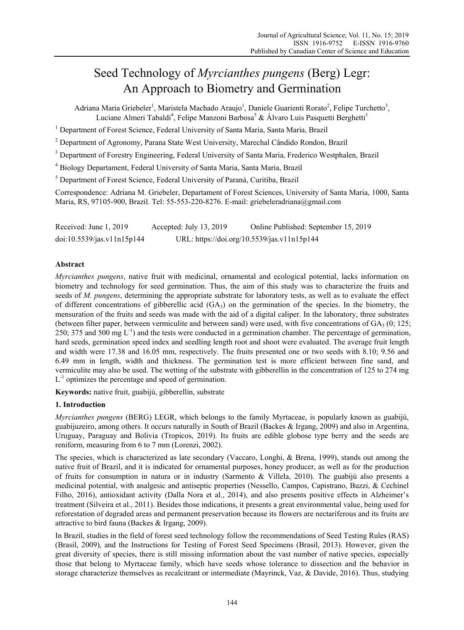# Seed Technology of *Myrcianthes pungens* (Berg) Legr: An Approach to Biometry and Germination

Adriana Maria Griebeler<sup>1</sup>, Maristela Machado Araujo<sup>1</sup>, Daniele Guarienti Rorato<sup>2</sup>, Felipe Turchetto<sup>3</sup>, Luciane Almeri Tabaldi<sup>4</sup>, Felipe Manzoni Barbosa<sup>5</sup> & Álvaro Luis Pasquetti Berghetti<sup>1</sup>

<sup>1</sup> Department of Forest Science, Federal University of Santa Maria, Santa Maria, Brazil

<sup>2</sup> Department of Agronomy, Parana State West University, Marechal Cândido Rondon, Brazil

<sup>3</sup> Department of Forestry Engineering, Federal University of Santa Maria, Frederico Westphalen, Brazil

4 Biology Departament, Federal University of Santa Maria, Santa Maria, Brazil

<sup>5</sup> Department of Forest Science, Federal University of Paraná, Curitiba, Brazil

Correspondence: Adriana M. Griebeler, Departament of Forest Sciences, University of Santa Maria, 1000, Santa Maria, RS, 97105-900, Brazil. Tel: 55-553-220-8276. E-mail: griebeleradriana@gmail.com

Received: June 1, 2019 Accepted: July 13, 2019 Online Published: September 15, 2019 doi:10.5539/jas.v11n15p144 URL: https://doi.org/10.5539/jas.v11n15p144

## **Abstract**

*Myrcianthes pungens*, native fruit with medicinal, ornamental and ecological potential, lacks information on biometry and technology for seed germination. Thus, the aim of this study was to characterize the fruits and seeds of *M. pungens*, determining the appropriate substrate for laboratory tests, as well as to evaluate the effect of different concentrations of gibberellic acid  $(GA<sub>3</sub>)$  on the germination of the species. In the biometry, the mensuration of the fruits and seeds was made with the aid of a digital caliper. In the laboratory, three substrates (between filter paper, between vermiculite and between sand) were used, with five concentrations of  $GA_3$  (0; 125; 250; 375 and 500 mg  $L^{-1}$ ) and the tests were conducted in a germination chamber. The percentage of germination, hard seeds, germination speed index and seedling length root and shoot were evaluated. The average fruit length and width were 17.38 and 16.05 mm, respectively. The fruits presented one or two seeds with 8.10; 9.56 and 6.49 mm in length, width and thickness. The germination test is more efficient between fine sand, and vermiculite may also be used. The wetting of the substrate with gibberellin in the concentration of 125 to 274 mg  $L^{-1}$  optimizes the percentage and speed of germination.

**Keywords:** native fruit, guabijú, gibberellin, substrate

# **1. Introduction**

*Myrcianthes pungens* (BERG) LEGR, which belongs to the family Myrtaceae, is popularly known as guabijú, guabijuzeiro, among others. It occurs naturally in South of Brazil (Backes & Irgang, 2009) and also in Argentina, Uruguay, Paraguay and Bolivia (Tropicos, 2019). Its fruits are edible globose type berry and the seeds are reniform, measuring from 6 to 7 mm (Lorenzi, 2002).

The species, which is characterized as late secondary (Vaccaro, Longhi, & Brena, 1999), stands out among the native fruit of Brazil, and it is indicated for ornamental purposes, honey producer, as well as for the production of fruits for consumption in natura or in industry (Sarmento & Villela, 2010). The guabijú also presents a medicinal potential, with analgesic and antiseptic properties (Nessello, Campos, Capistrano, Buzzi, & Cechinel Filho, 2016), antioxidant activity (Dalla Nora et al., 2014), and also presents positive effects in Alzheimer's treatment (Silveira et al., 2011). Besides those indications, it presents a great environmental value, being used for reforestation of degraded areas and permanent preservation because its flowers are nectariferous and its fruits are attractive to bird fauna (Backes & Irgang, 2009).

In Brazil, studies in the field of forest seed technology follow the recommendations of Seed Testing Rules (RAS) (Brasil, 2009), and the Instructions for Testing of Forest Seed Specimens (Brasil, 2013). However, given the great diversity of species, there is still missing information about the vast number of native species, especially those that belong to Myrtaceae family, which have seeds whose tolerance to dissection and the behavior in storage characterize themselves as recalcitrant or intermediate (Mayrinck, Vaz, & Davide, 2016). Thus, studying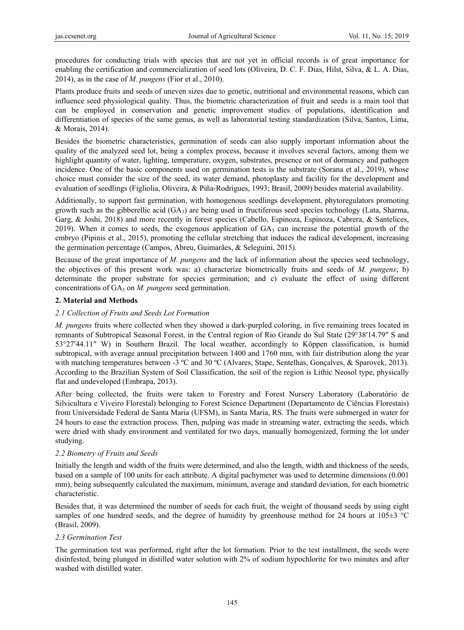procedures for conducting trials with species that are not yet in official records is of great importance for enabling the certification and commercialization of seed lots (Oliveira, D. C. F. Dias, Hilst, Silva, & L. A. Dias, 2014), as in the case of *M. pungens* (Fior et al., 2010).

Plants produce fruits and seeds of uneven sizes due to genetic, nutritional and environmental reasons, which can influence seed physiological quality. Thus, the biometric characterization of fruit and seeds is a main tool that can be employed in conservation and genetic improvement studies of populations, identification and differentiation of species of the same genus, as well as laboratorial testing standardization (Silva, Santos, Lima, & Morais, 2014).

Besides the biometric characteristics, germination of seeds can also supply important information about the quality of the analyzed seed lot, being a complex process, because it involves several factors, among them we highlight quantity of water, lighting, temperature, oxygen, substrates, presence or not of dormancy and pathogen incidence. One of the basic components used on germination tests is the substrate (Sorana et al., 2019), whose choice must consider the size of the seed, its water demand, photoplasty and facility for the development and evaluation of seedlings (Figliolia, Oliveira, & Piña-Rodrigues, 1993; Brasil, 2009) besides material availability.

Additionally, to support fast germination, with homogenous seedlings development, phytoregulators promoting growth such as the gibberellic acid  $(GA_3)$  are being used in fructiferous seed species technology (Lata, Sharma, Garg, & Joshi, 2018) and more recently in forest species (Cabello, Espinoza, Espinoza, Cabrera, & Santelices, 2019). When it comes to seeds, the exogenous application of  $GA_3$  can increase the potential growth of the embryo (Pipinis et al., 2015), promoting the cellular stretching that induces the radical development, increasing the germination percentage (Campos, Abreu, Guimarães, & Seleguini, 2015).

Because of the great importance of *M. pungens* and the lack of information about the species seed technology, the objectives of this present work was: a) characterize biometrically fruits and seeds of *M. pungens*; b) determinate the proper substrate for species germination; and c) evaluate the effect of using different concentrations of GA<sub>3</sub> on *M. pungens* seed germination.

## **2. Material and Methods**

# *2.1 Collection of Fruits and Seeds Lot Formation*

*M. pungens* fruits where collected when they showed a dark-purpled coloring, in five remaining trees located in remnants of Subtropical Seasonal Forest, in the Central region of Rio Grande do Sul State (29°38′14.79″ S and 53°27′44.11″ W) in Southern Brazil. The local weather, accordingly to Köppen classification, is humid subtropical, with average annual precipitation between 1400 and 1760 mm, with fair distribution along the year with matching temperatures between -3 °C and 30 °C (Alvares, Stape, Sentelhas, Gonçalves, & Sparovek, 2013). According to the Brazilian System of Soil Classification, the soil of the region is Lithic Neosol type, physically flat and undeveloped (Embrapa, 2013).

After being collected, the fruits were taken to Forestry and Forest Nursery Laboratory (Laboratório de Silvicultura e Viveiro Florestal) belonging to Forest Science Department (Departamento de Ciências Florestais) from Universidade Federal de Santa Maria (UFSM), in Santa Maria, RS. The fruits were submerged in water for 24 hours to ease the extraction process. Then, pulping was made in streaming water, extracting the seeds, which were dried with shady environment and ventilated for two days, manually homogenized, forming the lot under studying.

## *2.2 Biometry of Fruits and Seeds*

Initially the length and width of the fruits were determined, and also the length, width and thickness of the seeds, based on a sample of 100 units for each attribute. A digital pachymeter was used to determine dimensions (0.001 mm), being subsequently calculated the maximum, minimum, average and standard deviation, for each biometric characteristic.

Besides that, it was determined the number of seeds for each fruit, the weight of thousand seeds by using eight samples of one hundred seeds, and the degree of humidity by greenhouse method for 24 hours at  $105\pm3$  °C (Brasil, 2009).

## *2.3 Germination Test*

The germination test was performed, right after the lot formation. Prior to the test installment, the seeds were disinfested, being plunged in distilled water solution with 2% of sodium hypochlorite for two minutes and after washed with distilled water.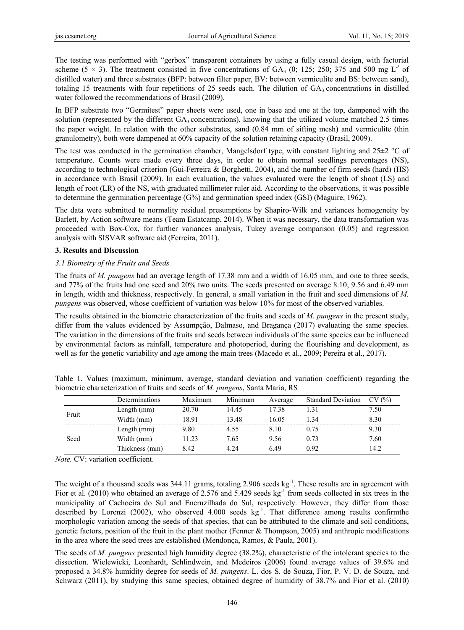The testing was performed with "gerbox" transparent containers by using a fully casual design, with factorial scheme (5  $\times$  3). The treatment consisted in five concentrations of GA<sub>3</sub> (0; 125; 250; 375 and 500 mg L<sup>-1</sup> of distilled water) and three substrates (BFP: between filter paper, BV: between vermiculite and BS: between sand), totaling 15 treatments with four repetitions of 25 seeds each. The dilution of  $GA_3$  concentrations in distilled water followed the recommendations of Brasil (2009).

In BFP substrate two "Germitest" paper sheets were used, one in base and one at the top, dampened with the solution (represented by the different  $GA_3$  concentrations), knowing that the utilized volume matched 2,5 times the paper weight. In relation with the other substrates, sand (0.84 mm of sifting mesh) and vermiculite (thin granulometry), both were dampened at 60% capacity of the solution retaining capacity (Brasil, 2009).

The test was conducted in the germination chamber, Mangelsdorf type, with constant lighting and  $25\pm2$  °C of temperature. Counts were made every three days, in order to obtain normal seedlings percentages (NS), according to technological criterion (Gui-Ferreira & Borghetti, 2004), and the number of firm seeds (hard) (HS) in accordance with Brasil (2009). In each evaluation, the values evaluated were the length of shoot (LS) and length of root (LR) of the NS, with graduated millimeter ruler aid. According to the observations, it was possible to determine the germination percentage (G%) and germination speed index (GSI) (Maguire, 1962).

The data were submitted to normality residual presumptions by Shapiro-Wilk and variances homogeneity by Barlett, by Action software means (Team Estatcamp, 2014). When it was necessary, the data transformation was proceeded with Box-Cox, for further variances analysis, Tukey average comparison (0.05) and regression analysis with SISVAR software aid (Ferreira, 2011).

#### **3. Results and Discussion**

#### *3.1 Biometry of the Fruits and Seeds*

The fruits of *M. pungens* had an average length of 17.38 mm and a width of 16.05 mm, and one to three seeds, and 77% of the fruits had one seed and 20% two units. The seeds presented on average 8.10; 9.56 and 6.49 mm in length, width and thickness, respectively. In general, a small variation in the fruit and seed dimensions of *M. pungens* was observed, whose coefficient of variation was below 10% for most of the observed variables.

The results obtained in the biometric characterization of the fruits and seeds of *M. pungens* in the present study, differ from the values evidenced by Assumpção, Dalmaso, and Bragança (2017) evaluating the same species. The variation in the dimensions of the fruits and seeds between individuals of the same species can be influenced by environmental factors as rainfall, temperature and photoperiod, during the flourishing and development, as well as for the genetic variability and age among the main trees (Macedo et al., 2009; Pereira et al., 2017).

|       | Determinations | Maximum | Minimum | Average | <b>Standard Deviation</b> | CV(%) |
|-------|----------------|---------|---------|---------|---------------------------|-------|
| Fruit | Length $(mm)$  | 20.70   | 14.45   | 17.38   | l.31                      | 7.50  |
|       | Width (mm)     | 18.91   | 13.48   | 16.05   | l 34                      | 8.30  |
|       | Length $(mm)$  | 9.80    | 4.55    | 8.10    | 0.75                      | 9.30  |
| Seed  | Width (mm)     | 11.23   | 7.65    | 9.56    | 0.73                      | 7.60  |
|       | Thickness (mm) | 8.42    | 4.24    | 6.49    | 0.92                      | 14.2  |

Table 1. Values (maximum, minimum, average, standard deviation and variation coefficient) regarding the biometric characterization of fruits and seeds of *M. pungens*, Santa Maria, RS

*Note.* CV: variation coefficient.

The weight of a thousand seeds was 344.11 grams, totaling 2.906 seeds kg<sup>-1</sup>. These results are in agreement with Fior et al. (2010) who obtained an average of 2.576 and 5.429 seeds kg<sup>-1</sup> from seeds collected in six trees in the municipality of Cachoeira do Sul and Encruzilhada do Sul, respectively. However, they differ from those described by Lorenzi (2002), who observed 4.000 seeds kg<sup>-1</sup>. That difference among results confirmthe morphologic variation among the seeds of that species, that can be attributed to the climate and soil conditions, genetic factors, position of the fruit in the plant mother (Fenner & Thompson, 2005) and anthropic modifications in the area where the seed trees are established (Mendonça, Ramos, & Paula, 2001).

The seeds of *M. pungens* presented high humidity degree (38.2%), characteristic of the intolerant species to the dissection. Wielewicki, Leonhardt, Schlindwein, and Medeiros (2006) found average values of 39.6% and proposed a 34.8% humidity degree for seeds of *M. pungens*. L. dos S. de Souza, Fior, P. V. D. de Souza, and Schwarz (2011), by studying this same species, obtained degree of humidity of 38.7% and Fior et al. (2010)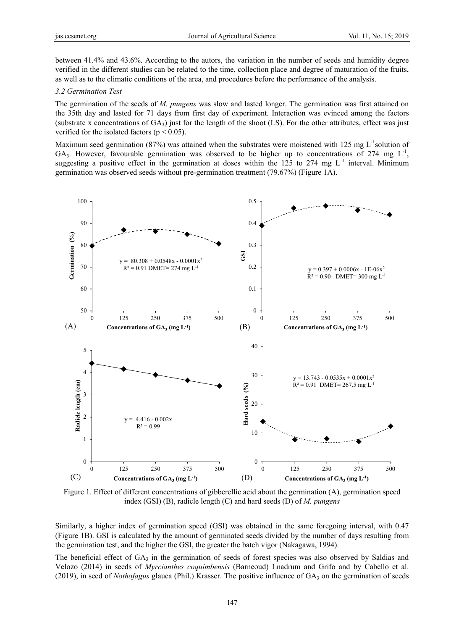between 41.4% and 43.6%. According to the autors, the variation in the number of seeds and humidity degree verified in the different studies can be related to the time, collection place and degree of maturation of the fruits, as well as to the climatic conditions of the area, and procedures before the performance of the analysis.

## *3.2 Germination Test*

The germination of the seeds of *M. pungens* was slow and lasted longer. The germination was first attained on the 35th day and lasted for 71 days from first day of experiment. Interaction was evinced among the factors (substrate x concentrations of  $GA_3$ ) just for the length of the shoot (LS). For the other attributes, effect was just verified for the isolated factors ( $p < 0.05$ ).

Maximum seed germination (87%) was attained when the substrates were moistened with 125 mg  $L^{-1}$ solution of GA<sub>3</sub>. However, favourable germination was observed to be higher up to concentrations of 274 mg  $L^{-1}$ , suggesting a positive effect in the germination at doses within the 125 to 274 mg  $L^{-1}$  interval. Minimum germination was observed seeds without pre-germination treatment (79.67%) (Figure 1A).



Figure 1. Effect of different concentrations of gibberellic acid about the germination (A), germination speed index (GSI) (B), radicle length (C) and hard seeds (D) of *M. pungens* 

Similarly, a higher index of germination speed (GSI) was obtained in the same foregoing interval, with 0.47 (Figure 1B). GSI is calculated by the amount of germinated seeds divided by the number of days resulting from the germination test, and the higher the GSI, the greater the batch vigor (Nakagawa, 1994).

The beneficial effect of  $GA_3$  in the germination of seeds of forest species was also observed by Saldias and Velozo (2014) in seeds of *Myrcianthes coquimbensis* (Barneoud) Lnadrum and Grifo and by Cabello et al. (2019), in seed of *Nothofagus* glauca (Phil.) Krasser. The positive influence of GA<sub>3</sub> on the germination of seeds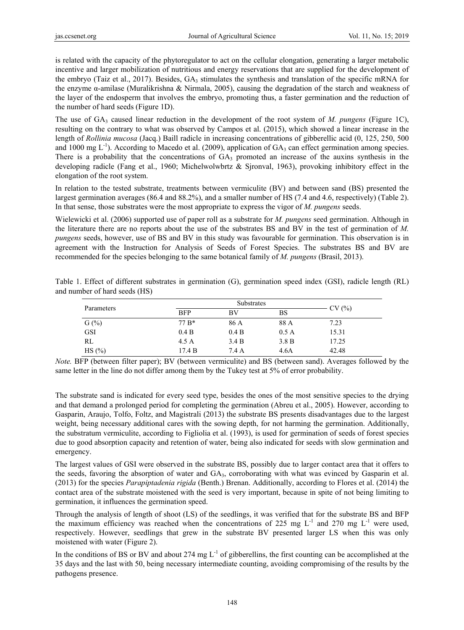is related with the capacity of the phytoregulator to act on the cellular elongation, generating a larger metabolic incentive and larger mobilization of nutritious and energy reservations that are supplied for the development of the embryo (Taiz et al., 2017). Besides,  $GA_3$  stimulates the synthesis and translation of the specific mRNA for the enzyme α-amilase (Muralikrishna & Nirmala, 2005), causing the degradation of the starch and weakness of the layer of the endosperm that involves the embryo, promoting thus, a faster germination and the reduction of the number of hard seeds (Figure 1D).

The use of  $GA_3$  caused linear reduction in the development of the root system of *M. pungens* (Figure 1C), resulting on the contrary to what was observed by Campos et al. (2015), which showed a linear increase in the length of *Rollinia mucosa* (Jacq.) Baill radicle in increasing concentrations of gibberellic acid (0, 125, 250, 500 and 1000 mg  $L^{-1}$ ). According to Macedo et al. (2009), application of GA<sub>3</sub> can effect germination among species. There is a probability that the concentrations of  $GA_3$  promoted an increase of the auxins synthesis in the developing radicle (Fang et al., 1960; Michelwolwbrtz & Sjronval, 1963), provoking inhibitory effect in the elongation of the root system.

In relation to the tested substrate, treatments between vermiculite (BV) and between sand (BS) presented the largest germination averages (86.4 and 88.2%), and a smaller number of HS (7.4 and 4.6, respectively) (Table 2). In that sense, those substrates were the most appropriate to express the vigor of *M. pungens* seeds.

Wielewicki et al. (2006) supported use of paper roll as a substrate for *M. pungens* seed germination. Although in the literature there are no reports about the use of the substrates BS and BV in the test of germination of *M. pungens* seeds, however, use of BS and BV in this study was favourable for germination. This observation is in agreement with the Instruction for Analysis of Seeds of Forest Species. The substrates BS and BV are recommended for the species belonging to the same botanical family of *M. pungens* (Brasil, 2013).

|                               | Table 1. Effect of different substrates in germination (G), germination speed index (GSI), radicle length (RL) |  |  |  |  |  |
|-------------------------------|----------------------------------------------------------------------------------------------------------------|--|--|--|--|--|
| and number of hard seeds (HS) |                                                                                                                |  |  |  |  |  |

| Parameters |            | CV(%) |       |       |
|------------|------------|-------|-------|-------|
|            | <b>BFP</b> | BV    | BS    |       |
| $G(\%)$    | 77 B*      | 86 A  | 88 A  | 7.23  |
| <b>GSI</b> | 0.4 B      | 0.4 B | 0.5A  | 15.31 |
| RL         | 4.5A       | 3.4 B | 3.8 B | 17.25 |
| HS(%)      | 17.4 B     | 7.4 A | 4.6A  | 42.48 |

*Note.* BFP (between filter paper); BV (between vermiculite) and BS (between sand). Averages followed by the same letter in the line do not differ among them by the Tukey test at 5% of error probability.

The substrate sand is indicated for every seed type, besides the ones of the most sensitive species to the drying and that demand a prolonged period for completing the germination (Abreu et al., 2005). However, according to Gasparin, Araujo, Tolfo, Foltz, and Magistrali (2013) the substrate BS presents disadvantages due to the largest weight, being necessary additional cares with the sowing depth, for not harming the germination. Additionally, the substratum vermiculite, according to Figliolia et al. (1993), is used for germination of seeds of forest species due to good absorption capacity and retention of water, being also indicated for seeds with slow germination and emergency.

The largest values of GSI were observed in the substrate BS, possibly due to larger contact area that it offers to the seeds, favoring the absorption of water and GA3, corroborating with what was evinced by Gasparin et al. (2013) for the species *Parapiptadenia rigida* (Benth.) Brenan. Additionally, according to Flores et al. (2014) the contact area of the substrate moistened with the seed is very important, because in spite of not being limiting to germination, it influences the germination speed.

Through the analysis of length of shoot (LS) of the seedlings, it was verified that for the substrate BS and BFP the maximum efficiency was reached when the concentrations of 225 mg  $L^{-1}$  and 270 mg  $L^{-1}$  were used, respectively. However, seedlings that grew in the substrate BV presented larger LS when this was only moistened with water (Figure 2).

In the conditions of BS or BV and about 274 mg  $L^{-1}$  of gibberellins, the first counting can be accomplished at the 35 days and the last with 50, being necessary intermediate counting, avoiding compromising of the results by the pathogens presence.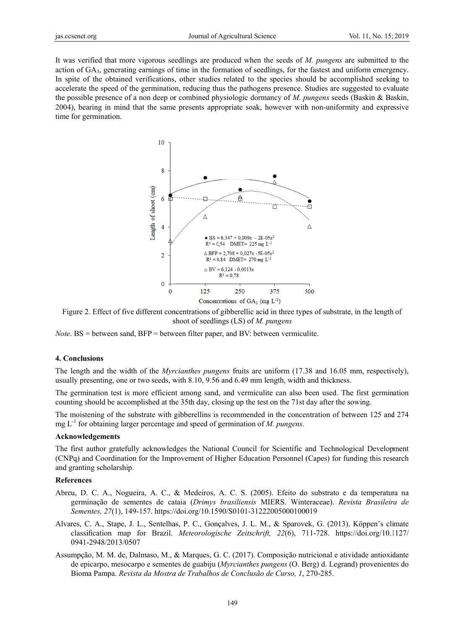It was verified that more vigorous seedlings are produced when the seeds of *M. pungens* are submitted to the action of GA<sub>3</sub>, generating earnings of time in the formation of seedlings, for the fastest and uniform emergency. In spite of the obtained verifications, other studies related to the species should be accomplished seeking to accelerate the speed of the germination, reducing thus the pathogens presence. Studies are suggested to evaluate the possible presence of a non deep or combined physiologic dormancy of *M. pungens* seeds (Baskin & Baskin, 2004), bearing in mind that the same presents appropriate soak, however with non-uniformity and expressive time for germination.



Figure 2. Effect of five different concentrations of gibberellic acid in three types of substrate, in the length of shoot of seedlings (LS) of *M. pungens* 

*Note*. BS = between sand, BFP = between filter paper, and BV: between vermiculite.

#### **4. Conclus sions**

The length and the width of the *Myrcianthes pungens* fruits are uniform (17.38 and 16.05 mm, respectively), usually presenting, one or two seeds, with 8.10, 9.56 and 6.49 mm length, width and thickness.

The germination test is more efficient among sand, and vermiculite can also been used. The first germination counting should be accomplished at the 35th day, closing up the test on the 71st day after the sowing.

The moistening of the substrate with gibberellins is recommended in the concentration of between 125 and 274 mg  $L^{-1}$  for obtaining larger percentage and speed of germination of *M. pungens.* 

#### Acknowledgements

The first author gratefully acknowledges the National Council for Scientific and Technological Development (CNPq) and Coordination for the Improvement of Higher Education Personnel (Capes) for funding this research and granting scholarship.

### **Reference es**

- Abreu, D. C. A., Nogueira, A. C., & Medeiros, A. C. S. (2005). Efeito do substrato e da temperatura na germinação de sementes de cataia (*Drimys brasiliensis* MIERS. Winteraceae). *Revista Brasileira de* Sementes, 27(1), 149-157. https://doi.org/10.1590/S0101-31222005000100019
- Alvares, C. A., Stape, J. L., Sentelhas, P. C., Gonçalves, J. L. M., & Sparovek, G. (2013). Köppen's climate classification map for Brazil. Meteorologische Zeitschrift, 22(6), 711-728. https://doi.org/10.1127/ 0941- -2948/2013/05 507
- Assumpção, M. M. de, Dalmaso, M., & Marques, G. C. (2017). Composição nutricional e atividade antioxidante de epicarpo, mesocarpo e sementes de guabiju (*Myrcianthes pungens* (O. Berg) d. Legrand) provenientes do Bioma Pampa. *Revista da Mostra de Trabalhos de Conclusão de Curso, 1, 270-285.*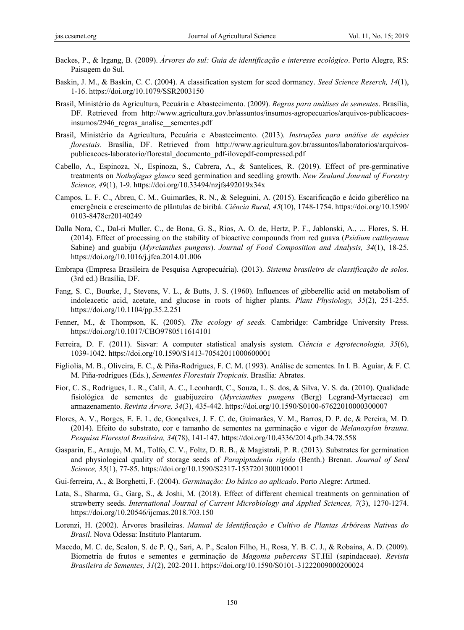- Backes, P., & Irgang, B. (2009). *Árvores do sul: Guia de identificação e interesse ecológico*. Porto Alegre, RS: Paisagem do Sul.
- Baskin, J. M., & Baskin, C. C. (2004). A classification system for seed dormancy. *Seed Science Reserch, 14*(1), 1-16. https://doi.org/10.1079/SSR2003150
- Brasil, Ministério da Agricultura, Pecuária e Abastecimento. (2009). *Regras para análises de sementes*. Brasília, DF. Retrieved from http://www.agricultura.gov.br/assuntos/insumos-agropecuarios/arquivos-publicacoesinsumos/2946\_regras\_analise\_\_sementes.pdf
- Brasil, Ministério da Agricultura, Pecuária e Abastecimento. (2013). *Instruções para análise de espécies florestais*. Brasília, DF. Retrieved from http://www.agricultura.gov.br/assuntos/laboratorios/arquivospublicacoes-laboratorio/florestal\_documento\_pdf-ilovepdf-compressed.pdf
- Cabello, A., Espinoza, N., Espinoza, S., Cabrera, A., & Santelices, R. (2019). Effect of pre-germinative treatments on *Nothofagus glauca* seed germination and seedling growth. *New Zealand Journal of Forestry Science, 49*(1), 1-9. https://doi.org/10.33494/nzjfs492019x34x
- Campos, L. F. C., Abreu, C. M., Guimarães, R. N., & Seleguini, A. (2015). Escarificação e ácido giberélico na emergência e crescimento de plântulas de biribá. *Ciência Rural, 45*(10), 1748-1754. https://doi.org/10.1590/ 0103-8478cr20140249
- Dalla Nora, C., Dal-ri Muller, C., de Bona, G. S., Rios, A. O. de, Hertz, P. F., Jablonski, A., ... Flores, S. H. (2014). Effect of processing on the stability of bioactive compounds from red guava (*Psidium cattleyanun* Sabine) and guabiju (*Myrcianthes pungens*). *Journal of Food Composition and Analysis, 34*(1), 18-25. https://doi.org/10.1016/j.jfca.2014.01.006
- Embrapa (Empresa Brasileira de Pesquisa Agropecuária). (2013). *Sistema brasileiro de classificação de solos*. (3rd ed.) Brasília, DF.
- Fang, S. C., Bourke, J., Stevens, V. L., & Butts, J. S. (1960). Influences of gibberellic acid on metabolism of indoleacetic acid, acetate, and glucose in roots of higher plants. *Plant Physiology, 35*(2), 251-255. https://doi.org/10.1104/pp.35.2.251
- Fenner, M., & Thompson, K. (2005). *The ecology of seeds.* Cambridge: Cambridge University Press. https://doi.org/10.1017/CBO9780511614101
- Ferreira, D. F. (2011). Sisvar: A computer statistical analysis system. *Ciência e Agrotecnologia, 35*(6), 1039-1042. https://doi.org/10.1590/S1413-70542011000600001
- Figliolia, M. B., Oliveira, E. C., & Piña-Rodrigues, F. C. M. (1993). Análise de sementes. In I. B. Aguiar, & F. C. M. Piña-rodrigues (Eds.), *Sementes Florestais Tropicais*. Brasília: Abrates.
- Fior, C. S., Rodrigues, L. R., Calil, A. C., Leonhardt, C., Souza, L. S. dos, & Silva, V. S. da. (2010). Qualidade fisiológica de sementes de guabijuzeiro (*Myrcianthes pungens* (Berg) Legrand-Myrtaceae) em armazenamento. *Revista Árvore, 34*(3), 435-442. https://doi.org/10.1590/S0100-67622010000300007
- Flores, A. V., Borges, E. E. L. de, Gonçalves, J. F. C. de, Guimarães, V. M., Barros, D. P. de, & Pereira, M. D. (2014). Efeito do substrato, cor e tamanho de sementes na germinação e vigor de *Melanoxylon brauna*. *Pesquisa Florestal Brasileira, 34*(78), 141-147. https://doi.org/10.4336/2014.pfb.34.78.558
- Gasparin, E., Araujo, M. M., Tolfo, C. V., Foltz, D. R. B., & Magistrali, P. R. (2013). Substrates for germination and physiological quality of storage seeds of *Parapiptadenia rigida* (Benth.) Brenan. *Journal of Seed Science, 35*(1), 77-85. https://doi.org/10.1590/S2317-15372013000100011
- Gui-ferreira, A., & Borghetti, F. (2004). *Germinação: Do básico ao aplicado*. Porto Alegre: Artmed.
- Lata, S., Sharma, G., Garg, S., & Joshi, M. (2018). Effect of different chemical treatments on germination of strawberry seeds. *International Journal of Current Microbiology and Applied Sciences, 7*(3), 1270-1274. https://doi.org/10.20546/ijcmas.2018.703.150
- Lorenzi, H. (2002). Árvores brasileiras. *Manual de Identificação e Cultivo de Plantas Arbóreas Nativas do Brasil*. Nova Odessa: Instituto Plantarum.
- Macedo, M. C. de, Scalon, S. de P. Q., Sari, A. P., Scalon Filho, H., Rosa, Y. B. C. J., & Robaina, A. D. (2009). Biometria de frutos e sementes e germinação de *Magonia pubescens* ST.Hil (sapindaceae). *Revista Brasileira de Sementes, 31*(2), 202-2011. https://doi.org/10.1590/S0101-31222009000200024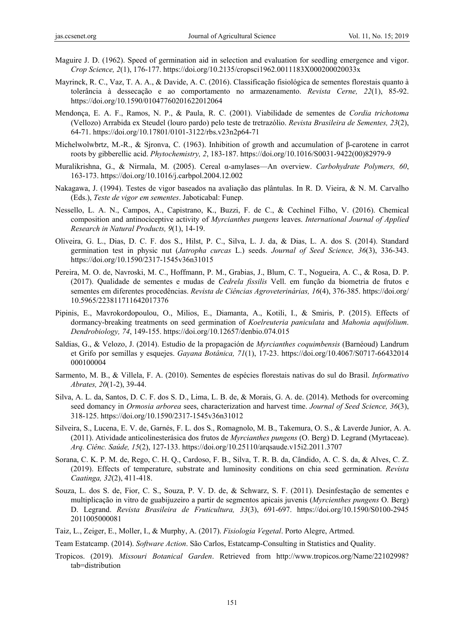- Maguire J. D. (1962). Speed of germination aid in selection and evaluation for seedling emergence and vigor. *Crop Science, 2*(1), 176-177. https://doi.org/10.2135/cropsci1962.0011183X000200020033x
- Mayrinck, R. C., Vaz, T. A. A., & Davide, A. C. (2016). Classificação fisiológica de sementes florestais quanto à tolerância à dessecação e ao comportamento no armazenamento. *Revista Cerne, 22*(1), 85-92. https://doi.org/10.1590/01047760201622012064
- Mendonça, E. A. F., Ramos, N. P., & Paula, R. C. (2001). Viabilidade de sementes de *Cordia trichotoma* (Vellozo) Arrabida ex Steudel (louro pardo) pelo teste de tretrazólio. *Revista Brasileira de Sementes, 23*(2), 64-71. https://doi.org/10.17801/0101-3122/rbs.v23n2p64-71
- Michelwolwbrtz, M.-R., & Sjronva, C. (1963). Inhibition of growth and accumulation of β-carotene in carrot roots by gibberellic acid. *Phytochemistry, 2*, 183-187. https://doi.org/10.1016/S0031-9422(00)82979-9
- Muralikrishna, G., & Nirmala, M. (2005). Cereal α-amylases—An overview. *Carbohydrate Polymers, 60*, 163-173. https://doi.org/10.1016/j.carbpol.2004.12.002
- Nakagawa, J. (1994). Testes de vigor baseados na avaliação das plântulas. In R. D. Vieira, & N. M. Carvalho (Eds.), *Teste de vigor em sementes*. Jaboticabal: Funep.
- Nessello, L. A. N., Campos, A., Capistrano, K., Buzzi, F. de C., & Cechinel Filho, V. (2016). Chemical composition and antinociceptive activity of *Myrcianthes pungens* leaves. *International Journal of Applied Research in Natural Products, 9*(1), 14-19.
- Oliveira, G. L., Dias, D. C. F. dos S., Hilst, P. C., Silva, L. J. da, & Dias, L. A. dos S. (2014). Standard germination test in physic nut (*Jatropha curcas* L.) seeds. *Journal of Seed Science, 36*(3), 336-343. https://doi.org/10.1590/2317-1545v36n31015
- Pereira, M. O. de, Navroski, M. C., Hoffmann, P. M., Grabias, J., Blum, C. T., Nogueira, A. C., & Rosa, D. P. (2017). Qualidade de sementes e mudas de *Cedrela fissilis* Vell. em função da biometria de frutos e sementes em diferentes procedências. *Revista de Ciências Agroveterinárias, 16*(4), 376-385. https://doi.org/ 10.5965/223811711642017376
- Pipinis, E., Mavrokordopoulou, O., Milios, E., Diamanta, A., Kotili, I., & Smiris, P. (2015). Effects of dormancy-breaking treatments on seed germination of *Koelreuteria paniculata* and *Mahonia aquifolium*. *Dendrobiology, 74*, 149-155. https://doi.org/10.12657/denbio.074.015
- Saldias, G., & Velozo, J. (2014). Estudio de la propagación de *Myrcianthes coquimbensis* (Barnéoud) Landrum et Grifo por semillas y esquejes. *Gayana Botânica, 71*(1), 17-23. https://doi.org/10.4067/S0717-66432014 000100004
- Sarmento, M. B., & Villela, F. A. (2010). Sementes de espécies florestais nativas do sul do Brasil. *Informativo Abrates, 20*(1-2), 39-44.
- Silva, A. L. da, Santos, D. C. F. dos S. D., Lima, L. B. de, & Morais, G. A. de. (2014). Methods for overcoming seed domancy in *Ormosia arborea* sees, characterization and harvest time. *Journal of Seed Science, 36*(3), 318-125. https://doi.org/10.1590/2317-1545v36n31012
- Silveira, S., Lucena, E. V. de, Garnés, F. L. dos S., Romagnolo, M. B., Takemura, O. S., & Laverde Junior, A. A. (2011). Atividade anticolinesterásica dos frutos de *Myrcianthes pungens* (O. Berg) D. Legrand (Myrtaceae). *Arq. Ciênc. Saúde, 15*(2), 127-133. https://doi.org/10.25110/arqsaude.v15i2.2011.3707
- Sorana, C. K. P. M. de, Rego, C. H. Q., Cardoso, F. B., Silva, T. R. B. da, Cândido, A. C. S. da, & Alves, C. Z. (2019). Effects of temperature, substrate and luminosity conditions on chia seed germination. *Revista Caatinga, 32*(2), 411-418.
- Souza, L. dos S. de, Fior, C. S., Souza, P. V. D. de, & Schwarz, S. F. (2011). Desinfestação de sementes e multiplicação in vitro de guabijuzeiro a partir de segmentos apicais juvenis (*Myrcienthes pungens* O. Berg) D. Legrand. *Revista Brasileira de Fruticultura, 33*(3), 691-697. https://doi.org/10.1590/S0100-2945 2011005000081
- Taiz, L., Zeiger, E., Moller, I., & Murphy, A. (2017). *Fisiologia Vegetal*. Porto Alegre, Artmed.

Team Estatcamp. (2014). *Software Action*. São Carlos, Estatcamp-Consulting in Statistics and Quality.

Tropicos. (2019). *Missouri Botanical Garden*. Retrieved from http://www.tropicos.org/Name/22102998? tab=distribution